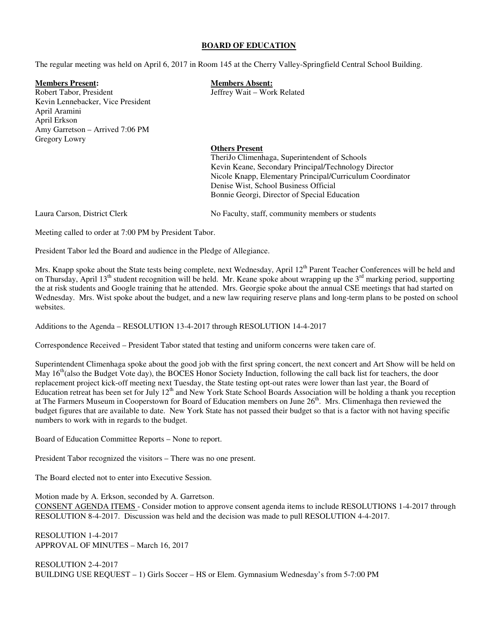#### **BOARD OF EDUCATION**

The regular meeting was held on April 6, 2017 in Room 145 at the Cherry Valley-Springfield Central School Building.

**Members Present: Members Absent:**  Robert Tabor, President Tabor, President Jeffrey Wait – Work Related Kevin Lennebacker, Vice President April Aramini April Erkson Amy Garretson – Arrived 7:06 PM Gregory Lowry

## **Others Present**

 TheriJo Climenhaga, Superintendent of Schools Kevin Keane, Secondary Principal/Technology Director Nicole Knapp, Elementary Principal/Curriculum Coordinator Denise Wist, School Business Official Bonnie Georgi, Director of Special Education

Laura Carson, District Clerk No Faculty, staff, community members or students

Meeting called to order at 7:00 PM by President Tabor.

President Tabor led the Board and audience in the Pledge of Allegiance.

Mrs. Knapp spoke about the State tests being complete, next Wednesday, April 12<sup>th</sup> Parent Teacher Conferences will be held and on Thursday, April 13<sup>th</sup> student recognition will be held. Mr. Keane spoke about wrapping up the 3<sup>rd</sup> marking period, supporting the at risk students and Google training that he attended. Mrs. Georgie spoke about the annual CSE meetings that had started on Wednesday. Mrs. Wist spoke about the budget, and a new law requiring reserve plans and long-term plans to be posted on school websites.

Additions to the Agenda – RESOLUTION 13-4-2017 through RESOLUTION 14-4-2017

Correspondence Received – President Tabor stated that testing and uniform concerns were taken care of.

Superintendent Climenhaga spoke about the good job with the first spring concert, the next concert and Art Show will be held on May 16<sup>th</sup>(also the Budget Vote day), the BOCES Honor Society Induction, following the call back list for teachers, the door replacement project kick-off meeting next Tuesday, the State testing opt-out rates were lower than last year, the Board of Education retreat has been set for July  $12<sup>th</sup>$  and New York State School Boards Association will be holding a thank you reception at The Farmers Museum in Cooperstown for Board of Education members on June 26<sup>th</sup>. Mrs. Climenhaga then reviewed the budget figures that are available to date. New York State has not passed their budget so that is a factor with not having specific numbers to work with in regards to the budget.

Board of Education Committee Reports – None to report.

President Tabor recognized the visitors – There was no one present.

The Board elected not to enter into Executive Session.

Motion made by A. Erkson, seconded by A. Garretson.

CONSENT AGENDA ITEMS - Consider motion to approve consent agenda items to include RESOLUTIONS 1-4-2017 through RESOLUTION 8-4-2017. Discussion was held and the decision was made to pull RESOLUTION 4-4-2017.

RESOLUTION 1-4-2017 APPROVAL OF MINUTES – March 16, 2017

RESOLUTION 2-4-2017 BUILDING USE REQUEST – 1) Girls Soccer – HS or Elem. Gymnasium Wednesday's from 5-7:00 PM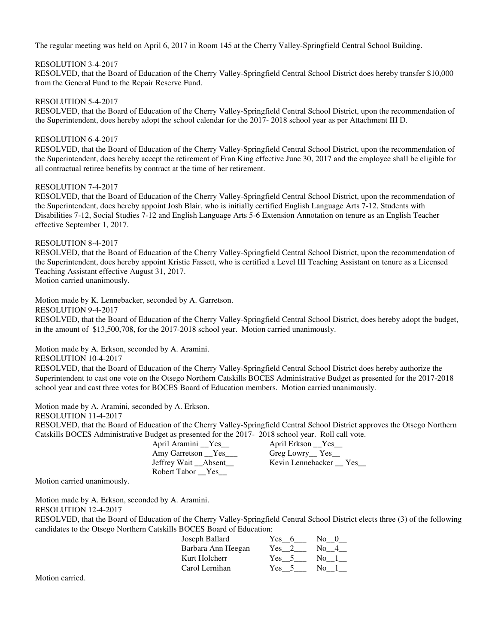The regular meeting was held on April 6, 2017 in Room 145 at the Cherry Valley-Springfield Central School Building.

## RESOLUTION 3-4-2017

RESOLVED, that the Board of Education of the Cherry Valley-Springfield Central School District does hereby transfer \$10,000 from the General Fund to the Repair Reserve Fund.

## RESOLUTION 5-4-2017

RESOLVED, that the Board of Education of the Cherry Valley-Springfield Central School District, upon the recommendation of the Superintendent, does hereby adopt the school calendar for the 2017- 2018 school year as per Attachment III D.

# RESOLUTION 6-4-2017

RESOLVED, that the Board of Education of the Cherry Valley-Springfield Central School District, upon the recommendation of the Superintendent, does hereby accept the retirement of Fran King effective June 30, 2017 and the employee shall be eligible for all contractual retiree benefits by contract at the time of her retirement.

# RESOLUTION 7-4-2017

RESOLVED, that the Board of Education of the Cherry Valley-Springfield Central School District, upon the recommendation of the Superintendent, does hereby appoint Josh Blair, who is initially certified English Language Arts 7-12, Students with Disabilities 7-12, Social Studies 7-12 and English Language Arts 5-6 Extension Annotation on tenure as an English Teacher effective September 1, 2017.

# RESOLUTION 8-4-2017

RESOLVED, that the Board of Education of the Cherry Valley-Springfield Central School District, upon the recommendation of the Superintendent, does hereby appoint Kristie Fassett, who is certified a Level III Teaching Assistant on tenure as a Licensed Teaching Assistant effective August 31, 2017.

Motion carried unanimously.

Motion made by K. Lennebacker, seconded by A. Garretson.

RESOLUTION 9-4-2017

RESOLVED, that the Board of Education of the Cherry Valley-Springfield Central School District, does hereby adopt the budget, in the amount of \$13,500,708, for the 2017-2018 school year. Motion carried unanimously.

Motion made by A. Erkson, seconded by A. Aramini.

RESOLUTION 10-4-2017

RESOLVED, that the Board of Education of the Cherry Valley-Springfield Central School District does hereby authorize the Superintendent to cast one vote on the Otsego Northern Catskills BOCES Administrative Budget as presented for the 2017-2018 school year and cast three votes for BOCES Board of Education members. Motion carried unanimously.

Motion made by A. Aramini, seconded by A. Erkson.

RESOLUTION 11-4-2017

RESOLVED, that the Board of Education of the Cherry Valley-Springfield Central School District approves the Otsego Northern Catskills BOCES Administrative Budget as presented for the 2017- 2018 school year. Roll call vote.

April Aramini \_\_Yes\_\_ April Erkson \_\_Yes\_ Amy Garretson Ves Greg Lowry Yes Greg Lowry Ves Jeffrey Wait Absent Kevin Lennebacker Yes Jeffrey Wait \_\_Absent\_\_ Robert Tabor **Yes** 

Motion carried unanimously.

Motion made by A. Erkson, seconded by A. Aramini.

RESOLUTION 12-4-2017

RESOLVED, that the Board of Education of the Cherry Valley-Springfield Central School District elects three (3) of the following candidates to the Otsego Northern Catskills BOCES Board of Education:

| Joseph Ballard     | Yes $6$       | $\text{No}$ 0 |
|--------------------|---------------|---------------|
| Barbara Ann Heegan | $Yes \quad 2$ | No 4          |
| Kurt Holcherr      | Yes 5         | No 1          |
| Carol Lernihan     | $Yes = 5$     | No 1          |

Motion carried.